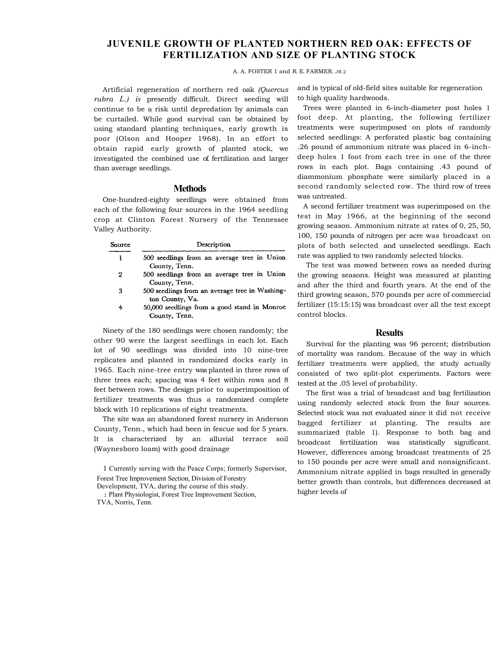# **JUVENILE GROWTH OF PLANTED NORTHERN RED OAK: EFFECTS OF FERTILIZATION AND SIZE OF PLANTING STOCK**

#### A. A. FOSTER 1 and R. E. FARMER, JR.2

Artificial regeneration of northern red oak *(Quercus rubra L.) is* presently difficult. Direct seeding will continue to be a risk until depredation by animals can be curtailed. While good survival can be obtained by using standard planting techniques, early growth is poor (Olson and Hooper 1968). In an effort to obtain rapid early growth of planted stock, we investigated the combined use of. fertilization and larger than average seedlings.

### **Methods**

One-hundred-eighty seedlings were obtained from each of the following four sources in the 1964 seedling crop at Clinton Forest Nursery of the Tennessee Valley Authority.

| Source | Description                                                       |
|--------|-------------------------------------------------------------------|
|        | 500 seedlings from an average tree in Union<br>County, Tenn.      |
| 2      | 500 seedlings from an average tree in Union<br>County, Tenn.      |
| 3      | 500 seedlings from an average tree in Washing-<br>ton County, Va. |
| 4      | 50,000 seedlings from a good stand in Monroe<br>County, Tenn.     |

Ninety of the 180 seedlings were chosen randomly; the other 90 were the largest seedlings in each lot. Each lot of 90 seedlings was divided into 10 nine-tree replicates and planted in randomized docks early in 1965. Each nine-tree entry was planted in three rows of three trees each; spacing was 4 feet within rows and 8 feet between rows. The design prior to superimposition of fertilizer treatments was thus a randomized complete block with 10 replications of eight treatments.

The site was an abandoned forest nursery in Anderson County, Tenn., which had been in fescue sod for 5 years. It is characterized by an alluvial terrace soil (Waynesboro loam) with good drainage

1 Currently serving with the Peace Corps; formerly Supervisor, Forest Tree Improvement Section, Division of Forestry

Development, TVA, during the course of this study. 2 Plant Physiologist, Forest Tree Improvement Section, TVA, Norris, Tenn.

and is typical of old-field sites suitable for regeneration to high quality hardwoods.

Trees were planted in 6-inch-diameter post holes 1 foot deep. At planting, the following fertilizer treatments were superimposed on plots of randomly selected seedlings: A perforated plastic bag containing .26 pound of ammonium nitrate was placed in 6-inchdeep holes 1 foot from each tree in one of the three rows in each plot. Bags containing .43 pound of diammonium phosphate were similarly placed in a second randomly selected row. The third row of trees was untreated.

A second fertilizer treatment was superimposed on the test in May 1966, at the beginning of the second growing season. Ammonium nitrate at rates of 0, 25, 50, 100, 150 pounds of nitrogen per acre was broadcast on plots of both selected. and unselected seedlings. Each rate was applied to two randomly selected blocks.

The test was mowed between rows as needed during the growing seasons. Height was measured at planting and after the third and fourth years. At the end of the third growing season, 570 pounds per acre of commercial fertilizer (15:15:15) was broadcast over all the test except control blocks.

## **Results**

Survival for the planting was 96 percent; distribution of mortality was random. Because of the way in which fertilizer treatments were applied, the study actually consisted of two split-plot experiments. Factors were tested at the .05 level of probability.

The first was a trial of broadcast and bag fertilization using randomly selected stock from the four sources. Selected stock was not evaluated since it did not receive bagged fertilizer at planting. The results are summarized (table 1). Response to both bag and broadcast fertilization was statistically significant. However, differences among broadcast treatments of 25 to 150 pounds per acre were small and nonsignificant. Ammonium nitrate applied in bags resulted in generally better growth than controls, but differences decreased at higher levels of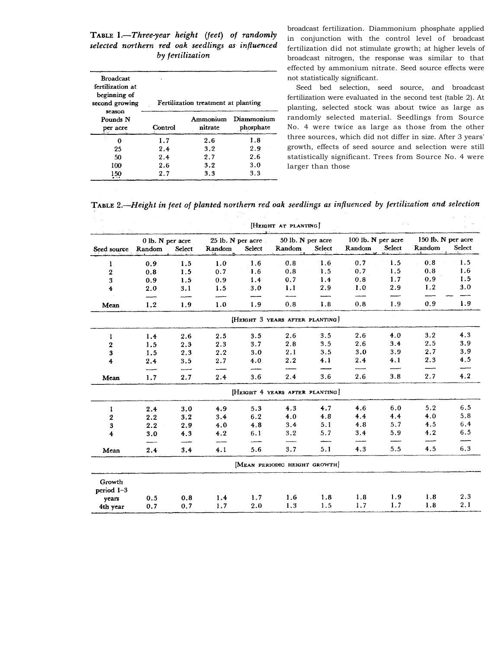TABLE 1.-Three-year height (feet) of randomly selected northern red oak seedlings as influenced by fertilization

| <b>Broadcast</b><br>fertilization at<br>beginning of<br>second growing<br>season | Fertilization treatment at planting |     |                         |  |  |  |  |
|----------------------------------------------------------------------------------|-------------------------------------|-----|-------------------------|--|--|--|--|
| Pounds N<br>per acre                                                             | Ammonium<br>Control<br>nitrate      |     | Diammonium<br>phosphate |  |  |  |  |
|                                                                                  | 1.7                                 | 2.6 | 1.8                     |  |  |  |  |
| 25                                                                               | 2.4                                 | 3.2 | 2.9                     |  |  |  |  |
| 50                                                                               | 2.4                                 | 2.7 | 2.6                     |  |  |  |  |
| 100                                                                              | 2.6                                 | 3.2 | 3.0                     |  |  |  |  |
| 150                                                                              | 2.7                                 | 3.3 | 3.3                     |  |  |  |  |

broadcast fertilization. Diammonium phosphate applied in conjunction with the control level of broadcast fertilization did not stimulate growth; at higher levels of broadcast nitrogen, the response was similar to that effected by ammonium nitrate. Seed source effects were not statistically significant.

Seed bed selection, seed source, and broadcast fertilization were evaluated in the second test (table 2). At planting, selected stock was about twice as large as randomly selected material. Seedlings from Source No. 4 were twice as large as those from the other three sources, which did not differ in size. After 3 years' growth, effects of seed source and selection were still statistically significant. Trees from Source No. 4 were larger than those

TABLE 2.—Height in feet of planted northern red oak seedlings as influenced by fertilization and selection

|     |                                                         | [HEIGHT AT PLANTING]                                                 |                                 |                                                            |                          |                                               |                                                                                                                                 |                                                |                                                |
|-----|---------------------------------------------------------|----------------------------------------------------------------------|---------------------------------|------------------------------------------------------------|--------------------------|-----------------------------------------------|---------------------------------------------------------------------------------------------------------------------------------|------------------------------------------------|------------------------------------------------|
|     |                                                         | Random                                                               | Select                          | Random                                                     | Select                   | Random                                        | Select                                                                                                                          | Random                                         | Select                                         |
|     |                                                         |                                                                      |                                 |                                                            |                          |                                               |                                                                                                                                 |                                                | 1.5                                            |
|     |                                                         |                                                                      |                                 |                                                            |                          |                                               |                                                                                                                                 |                                                | 1.6                                            |
|     |                                                         |                                                                      |                                 |                                                            |                          |                                               |                                                                                                                                 |                                                | 1.5                                            |
|     |                                                         |                                                                      |                                 |                                                            |                          |                                               |                                                                                                                                 |                                                | 3.0                                            |
|     |                                                         |                                                                      |                                 |                                                            |                          |                                               |                                                                                                                                 |                                                |                                                |
| 1.2 | 1.9                                                     | 1.0                                                                  | 1.9                             | 0.8                                                        | 1.8                      | 0.8                                           | 1.9                                                                                                                             | 0.9                                            | 1.9                                            |
|     |                                                         |                                                                      |                                 |                                                            |                          |                                               |                                                                                                                                 |                                                |                                                |
|     |                                                         |                                                                      | 3.5                             | 2.6                                                        | 3.5                      | 2.6                                           | 4.0                                                                                                                             | 3.2                                            | 4.3                                            |
| 1.5 |                                                         | 2.3                                                                  | 3.7                             | 2.8                                                        | 3.5                      | 2.6                                           | 3.4                                                                                                                             | 2.5                                            | 3.9                                            |
| 1.5 | 2.3                                                     | 2.2                                                                  | 3.0                             | 2.1                                                        | 3.5                      | 3.0                                           | 3.9                                                                                                                             | 2.7                                            | 3.9                                            |
| 2.4 | 3.5                                                     | 2.7                                                                  | 4.0                             | 2.2                                                        | 4.1                      | 2.4                                           | 4.1                                                                                                                             | 2.3                                            | 4.5                                            |
| 1.7 | 2.7                                                     | 2.4                                                                  | 3.6                             | 2.4                                                        | 3.6                      | 2.6                                           | 3.8                                                                                                                             | 2.7                                            | 4.2                                            |
|     |                                                         |                                                                      |                                 |                                                            |                          |                                               |                                                                                                                                 |                                                |                                                |
| 2.4 | 3.0                                                     | 4.9                                                                  | 5.3                             | 4.3                                                        | 4.7                      | 4.6                                           | 6.0                                                                                                                             | 5.2                                            | 6.5                                            |
| 2.2 | 3.2                                                     | 3.4                                                                  | 6.2                             | 4.0                                                        | 4.8                      | 4.4                                           | 4.4                                                                                                                             | 4.0                                            | 5.8                                            |
| 2.2 | 2.9                                                     | 4.0                                                                  | 4.8                             | 3.4                                                        | 5.1                      | 4.8                                           | 5.7                                                                                                                             | 4.5                                            | 6.4                                            |
| 3.0 | 4.3                                                     | 4.2                                                                  | 6.1                             | 3.2                                                        | 5.7                      | 3.4                                           | 5.9                                                                                                                             | 4.2                                            | 6.5                                            |
| 2.4 | 3.4                                                     | 4.1                                                                  | 5.6                             | 3.7                                                        | 5.1                      | 4.3                                           | 5.5                                                                                                                             | 4.5                                            | 6.3                                            |
|     |                                                         |                                                                      |                                 |                                                            |                          |                                               |                                                                                                                                 |                                                |                                                |
|     |                                                         |                                                                      |                                 |                                                            |                          |                                               |                                                                                                                                 |                                                |                                                |
|     | 0.8                                                     | 1.4                                                                  | 1.7                             | 1.6                                                        | 1.8                      | 1.8                                           | 1.9                                                                                                                             | 1.8                                            | 2.3                                            |
|     | 0.7                                                     | 1.7                                                                  | 2.0                             | 1.3                                                        | 1.5                      | 1.7                                           | 1.7                                                                                                                             | 1.8                                            | 2.1                                            |
|     | Random<br>0.9<br>0.8<br>0.9<br>2.0<br>1.4<br>0.5<br>0.7 | 0 lb. N per acre<br>Select<br>1.5<br>1.5<br>1.5<br>3.1<br>2.6<br>2.3 | 1.0<br>0.7<br>0.9<br>1.5<br>2.5 | 25 lb. N per acre<br>1.6<br>$\overline{1.6}$<br>1.4<br>3.0 | 0.8<br>0.8<br>0.7<br>1.1 | 50 lb. N per acre<br>1.6<br>1.5<br>1.4<br>2.9 | 0.7<br>0.7<br>0.8<br>1.0<br>[HEIGHT 3 YEARS AFTER PLANTING]<br>[HEIGHT 4 YEARS AFTER PLANTING]<br>[MEAN PERIODIC HEIGHT GROWTH] | 100 lb. N per acre<br>1.5<br>1.5<br>1.7<br>2.9 | 150 lb. N per acre<br>0.8<br>0.8<br>0.9<br>1.2 |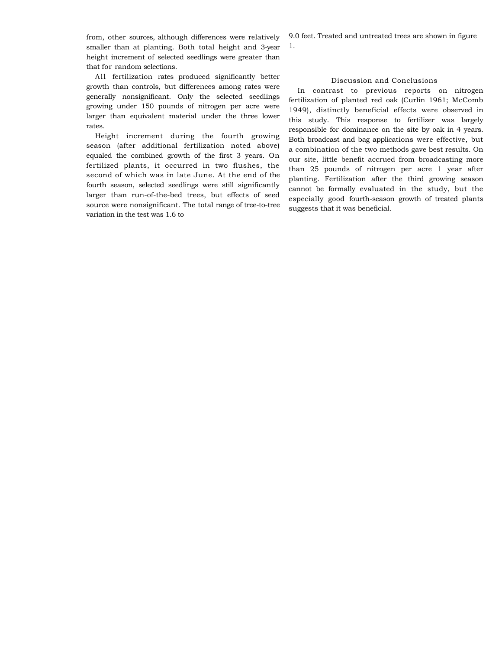from, other sources, although differences were relatively smaller than at planting. Both total height and 3-year height increment of selected seedlings were greater than that for random selections.

All fertilization rates produced significantly better growth than controls, but differences among rates were generally nonsignificant. Only the selected seedlings growing under 150 pounds of nitrogen per acre were larger than equivalent material under the three lower rates.

Height increment during the fourth growing season (after additional fertilization noted above) equaled the combined growth of the first 3 years. On fertilized plants, it occurred in two flushes, the second of which was in late June. At the end of the fourth season, selected seedlings were still significantly larger than run-of-the-bed trees, but effects of seed source were nonsignificant. The total range of tree-to-tree variation in the test was 1.6 to

9.0 feet. Treated and untreated trees are shown in figure

1.

### Discussion and Conclusions

In contrast to previous reports on nitrogen fertilization of planted red oak (Curlin 1961; McComb 1949), distinctly beneficial effects were observed in this study. This response to fertilizer was largely responsible for dominance on the site by oak in 4 years. Both broadcast and bag applications were effective, but a combination of the two methods gave best results. On our site, little benefit accrued from broadcasting more than 25 pounds of nitrogen per acre 1 year after planting. Fertilization after the third growing season cannot be formally evaluated in the study, but the especially good fourth-season growth of treated plants suggests that it was beneficial.